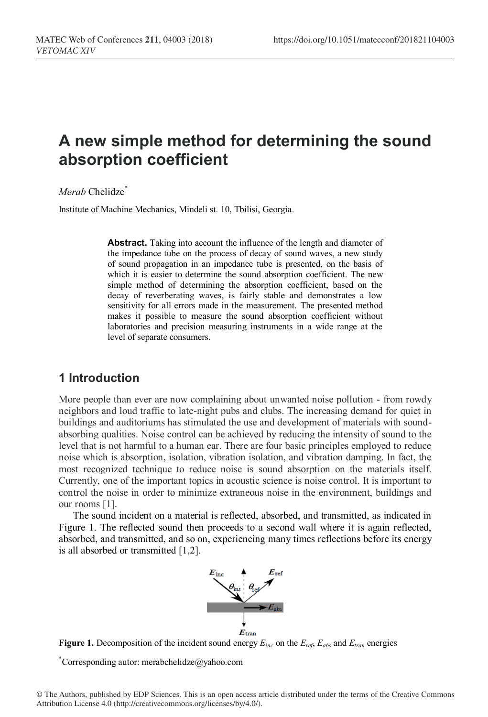# **A new simple method for determining the sound absorption coefficient**

*Merab* Chelidze\*

Institute of Machine Mechanics, Mindeli st. 10, Tbilisi, Georgia.

**Abstract.** Taking into account the influence of the length and diameter of the impedance tube on the process of decay of sound waves, a new study of sound propagation in an impedance tube is presented, on the basis of which it is easier to determine the sound absorption coefficient. The new simple method of determining the absorption coefficient, based on the decay of reverberating waves, is fairly stable and demonstrates a low sensitivity for all errors made in the measurement. The presented method makes it possible to measure the sound absorption coefficient without laboratories and precision measuring instruments in a wide range at the level of separate consumers.

#### **1 Introduction**

More people than ever are now complaining about unwanted noise pollution - from rowdy neighbors and loud traffic to late-night pubs and clubs. The increasing demand for quiet in buildings and auditoriums has stimulated the use and development of materials with soundabsorbing qualities. Noise control can be achieved by reducing the intensity of sound to the level that is not harmful to a human ear. There are four basic principles employed to reduce noise which is absorption, isolation, vibration isolation, and vibration damping. In fact, the most recognized technique to reduce noise is sound absorption on the materials itself. Currently, one of the important topics in acoustic science is noise control. It is important to control the noise in order to minimize extraneous noise in the environment, buildings and our rooms [1].

The sound incident on a material is reflected, absorbed, and transmitted, as indicated in Figure 1. The reflected sound then proceeds to a second wall where it is again reflected, absorbed, and transmitted, and so on, experiencing many times reflections before its energy is all absorbed or transmitted [1,2].



**Figure 1.** Decomposition of the incident sound energy  $E_{inc}$  on the  $E_{ref}$ ,  $E_{abs}$  and  $E_{tran}$  energies

\* Corresponding autor: merabchelidze@yahoo.com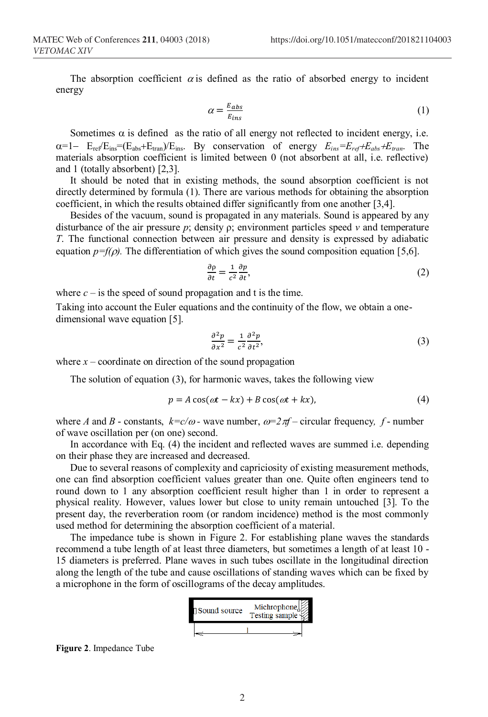The absorption coefficient  $\alpha$  is defined as the ratio of absorbed energy to incident energy

$$
\alpha = \frac{E_{abs}}{E_{ins}}\tag{1}
$$

Sometimes  $\alpha$  is defined as the ratio of all energy not reflected to incident energy, i.e.  $\alpha=1-$  E<sub>ref</sub>/E<sub>ins</sub>=(E<sub>abs</sub>+E<sub>tran</sub>)/E<sub>ins</sub>. By conservation of energy  $E_{ins}=E_{ref}+E_{abs}+E_{tran}$ . The materials absorption coefficient is limited between 0 (not absorbent at all, i.e. reflective) and 1 (totally absorbent) [2,3].

It should be noted that in existing methods, the sound absorption coefficient is not directly determined by formula (1). There are various methods for obtaining the absorption coefficient, in which the results obtained differ significantly from one another [3,4].

Besides of the vacuum, sound is propagated in any materials. Sound is appeared by any disturbance of the air pressure *p*; density ρ; environment particles speed *v* and temperature *T*. The functional connection between air pressure and density is expressed by adiabatic equation  $p=f(\rho)$ . The differentiation of which gives the sound composition equation [5,6].

$$
\frac{\partial \rho}{\partial t} = \frac{1}{c^2} \frac{\partial p}{\partial t},\tag{2}
$$

where  $c -$  is the speed of sound propagation and t is the time.

Taking into account the Euler equations and the continuity of the flow, we obtain a onedimensional wave equation [5].

$$
\frac{\partial^2 p}{\partial x^2} = \frac{1}{c^2} \frac{\partial^2 p}{\partial t^2},\tag{3}
$$

where  $x -$  coordinate on direction of the sound propagation

The solution of equation (3), for harmonic waves, takes the following view

$$
p = A\cos(\omega t - kx) + B\cos(\omega t + kx),\tag{4}
$$

where *A* and *B* - constants,  $k=c/\omega$  - wave number,  $\omega=2\pi f$  – circular frequency, f - number of wave oscillation per (on one) second.

In accordance with Eq. (4) the incident and reflected waves are summed i.e. depending on their phase they are increased and decreased.

Due to several reasons of complexity and capriciosity of existing measurement methods, one can find absorption coefficient values greater than one. Quite often engineers tend to round down to 1 any absorption coefficient result higher than 1 in order to represent a physical reality. However, values lower but close to unity remain untouched [3]. To the present day, the reverberation room (or random incidence) method is the most commonly used method for determining the absorption coefficient of a material.

The impedance tube is shown in Figure 2. For establishing plane waves the standards recommend a tube length of at least three diameters, but sometimes a length of at least 10 - 15 diameters is preferred. Plane waves in such tubes oscillate in the longitudinal direction along the length of the tube and cause oscillations of standing waves which can be fixed by a microphone in the form of oscillograms of the decay amplitudes.



**Figure 2**. Impedance Tube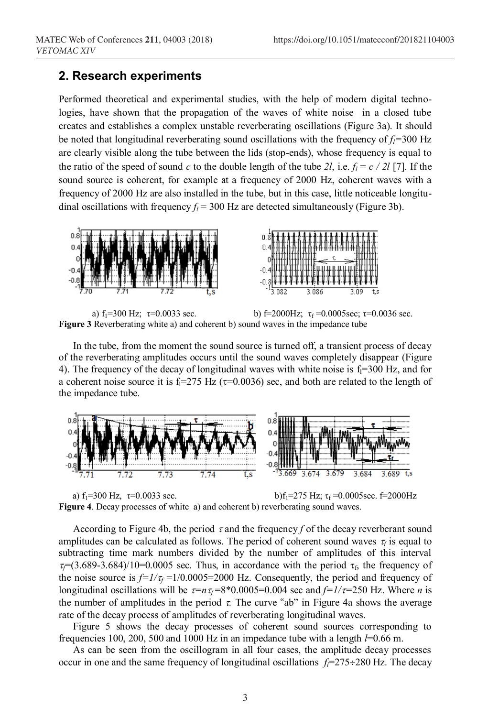#### **2. Research experiments**

Performed theoretical and experimental studies, with the help of modern digital technologies, have shown that the propagation of the waves of white noise in a closed tube creates and establishes a complex unstable reverberating oscillations (Figure 3a). It should be noted that longitudinal reverberating sound oscillations with the frequency of  $f_l$ =300 Hz are clearly visible along the tube between the lids (stop-ends), whose frequency is equal to the ratio of the speed of sound *c* to the double length of the tube 2l, i.e.  $f_l = c / 2l$  [7]. If the sound source is coherent, for example at a frequency of 2000 Hz, coherent waves with a frequency of 2000 Hz are also installed in the tube, but in this case, little noticeable longitudinal oscillations with frequency  $f_l$  = 300 Hz are detected simultaneously (Figure 3b).



a)  $f_1 = 300$  Hz;  $\tau = 0.0033$  sec. b)  $f=2000$  Hz;  $\tau_f = 0.0005$  sec.  $\tau = 0.0036$  sec. **Figure 3** Reverberating white a) and coherent b) sound waves in the impedance tube

In the tube, from the moment the sound source is turned off, a transient process of decay of the reverberating amplitudes occurs until the sound waves completely disappear (Figure 4). The frequency of the decay of longitudinal waves with white noise is  $f_1=300$  Hz, and for a coherent noise source it is f<sub>1</sub>=275 Hz ( $\tau$ =0.0036) sec, and both are related to the length of the impedance tube.



a)  $f_1=300$  Hz,  $\tau=0.0033$  sec. b) $f_1=275$  Hz;  $\tau_f=0.0005$  sec. f=2000Hz **Figure 4**. Decay processes of white a) and coherent b) reverberating sound waves.

According to Figure 4b, the period  $\tau$  and the frequency  $f$  of the decay reverberant sound amplitudes can be calculated as follows. The period of coherent sound waves  $\tau_f$  is equal to subtracting time mark numbers divided by the number of amplitudes of this interval  $\tau = (3.689-3.684)/10=0.0005$  sec. Thus, in accordance with the period  $\tau_{\rm f}$ , the frequency of the noise source is  $f=1/\tau_f=1/0.0005=2000$  Hz. Consequently, the period and frequency of longitudinal oscillations will be  $\tau = n\tau_f = 8*0.0005 = 0.004$  sec and  $f = 1/\tau = 250$  Hz. Where *n* is the number of amplitudes in the period  $\tau$ . The curve "ab" in Figure 4a shows the average rate of the decay process of amplitudes of reverberating longitudinal waves.

Figure 5 shows the decay processes of coherent sound sources corresponding to frequencies 100, 200, 500 and 1000 Hz in an impedance tube with a length *l*=0.66 m.

As can be seen from the oscillogram in all four cases, the amplitude decay processes occur in one and the same frequency of longitudinal oscillations  $f_1=275\div 280$  Hz. The decay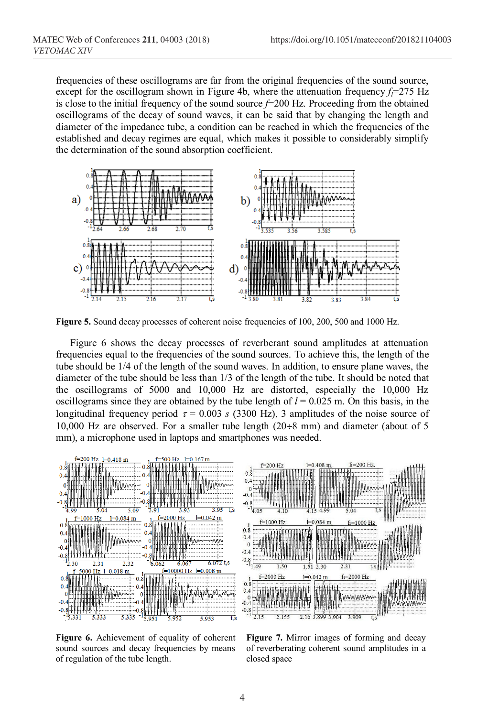frequencies of these oscillograms are far from the original frequencies of the sound source, except for the oscillogram shown in Figure 4b, where the attenuation frequency  $f=275$  Hz is close to the initial frequency of the sound source *f*=200 Hz. Proceeding from the obtained oscillograms of the decay of sound waves, it can be said that by changing the length and diameter of the impedance tube, a condition can be reached in which the frequencies of the established and decay regimes are equal, which makes it possible to considerably simplify the determination of the sound absorption coefficient.



**Figure 5.** Sound decay processes of coherent noise frequencies of 100, 200, 500 and 1000 Hz.

Figure 6 shows the decay processes of reverberant sound amplitudes at attenuation frequencies equal to the frequencies of the sound sources. To achieve this, the length of the tube should be 1/4 of the length of the sound waves. In addition, to ensure plane waves, the diameter of the tube should be less than 1/3 of the length of the tube. It should be noted that the oscillograms of 5000 and 10,000 Hz are distorted, especially the 10,000 Hz oscillograms since they are obtained by the tube length of  $l = 0.025$  m. On this basis, in the longitudinal frequency period  $\tau = 0.003$  *s* (3300 Hz), 3 amplitudes of the noise source of 10,000 Hz are observed. For a smaller tube length  $(20\div 8 \text{ mm})$  and diameter (about of 5 mm), a microphone used in laptops and smartphones was needed.



**Figure 6.** Achievement of equality of coherent sound sources and decay frequencies by means of regulation of the tube length.

**Figure 7.** Mirror images of forming and decay of reverberating coherent sound amplitudes in a closed space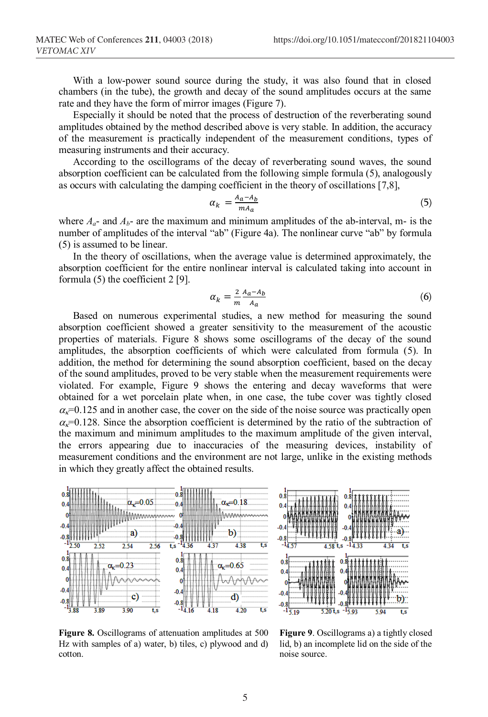With a low-power sound source during the study, it was also found that in closed chambers (in the tube), the growth and decay of the sound amplitudes occurs at the same rate and they have the form of mirror images (Figure 7).

Especially it should be noted that the process of destruction of the reverberating sound amplitudes obtained by the method described above is very stable. In addition, the accuracy of the measurement is practically independent of the measurement conditions, types of measuring instruments and their accuracy.

According to the oscillograms of the decay of reverberating sound waves, the sound absorption coefficient can be calculated from the following simple formula (5), analogously as occurs with calculating the damping coefficient in the theory of oscillations [7,8],

$$
\alpha_k = \frac{A_a - A_b}{m A_a} \tag{5}
$$

where  $A_a$ - and  $A_b$ - are the maximum and minimum amplitudes of the ab-interval, m- is the number of amplitudes of the interval "ab" (Figure 4a). The nonlinear curve "ab" by formula (5) is assumed to be linear.

In the theory of oscillations, when the average value is determined approximately, the absorption coefficient for the entire nonlinear interval is calculated taking into account in formula (5) the coefficient 2 [9].

$$
\alpha_k = \frac{2}{m} \frac{A_a - A_b}{A_a} \tag{6}
$$

Based on numerous experimental studies, a new method for measuring the sound absorption coefficient showed a greater sensitivity to the measurement of the acoustic properties of materials. Figure 8 shows some oscillograms of the decay of the sound amplitudes, the absorption coefficients of which were calculated from formula (5). In addition, the method for determining the sound absorption coefficient, based on the decay of the sound amplitudes, proved to be very stable when the measurement requirements were violated. For example, Figure 9 shows the entering and decay waveforms that were obtained for a wet porcelain plate when, in one case, the tube cover was tightly closed  $\alpha_{\kappa}$ =0.125 and in another case, the cover on the side of the noise source was practically open  $\alpha_{\kappa}$ =0.128. Since the absorption coefficient is determined by the ratio of the subtraction of the maximum and minimum amplitudes to the maximum amplitude of the given interval, the errors appearing due to inaccuracies of the measuring devices, instability of measurement conditions and the environment are not large, unlike in the existing methods in which they greatly affect the obtained results.





**Figure 8.** Oscillograms of attenuation amplitudes at 500 Hz with samples of a) water, b) tiles, c) plywood and d) cotton.

**Figure 9**. Oscillograms a) a tightly closed lid, b) an incomplete lid on the side of the noise source.